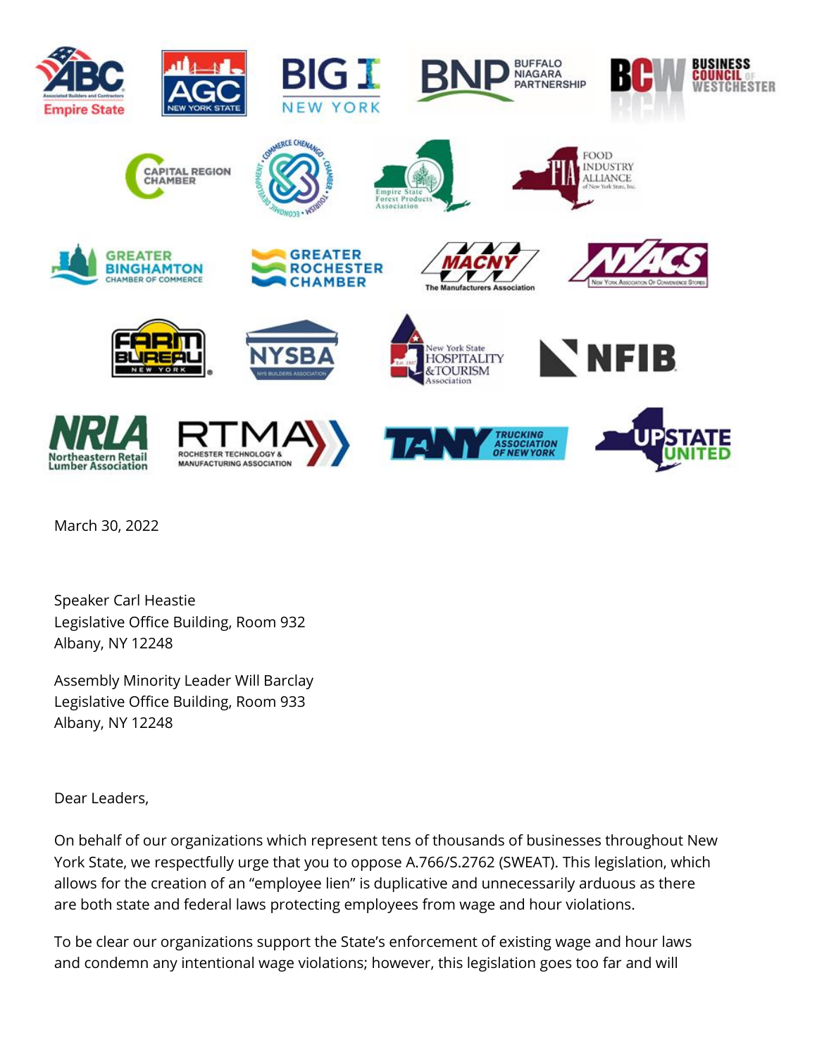

March 30, 2022

Speaker Carl Heastie Legislative Office Building, Room 932 Albany, NY 12248

Assembly Minority Leader Will Barclay Legislative Office Building, Room 933 Albany, NY 12248

Dear Leaders,

On behalf of our organizations which represent tens of thousands of businesses throughout New York State, we respectfully urge that you to oppose A.766/S.2762 (SWEAT). This legislation, which allows for the creation of an "employee lien" is duplicative and unnecessarily arduous as there are both state and federal laws protecting employees from wage and hour violations.

To be clear our organizations support the State's enforcement of existing wage and hour laws and condemn any intentional wage violations; however, this legislation goes too far and will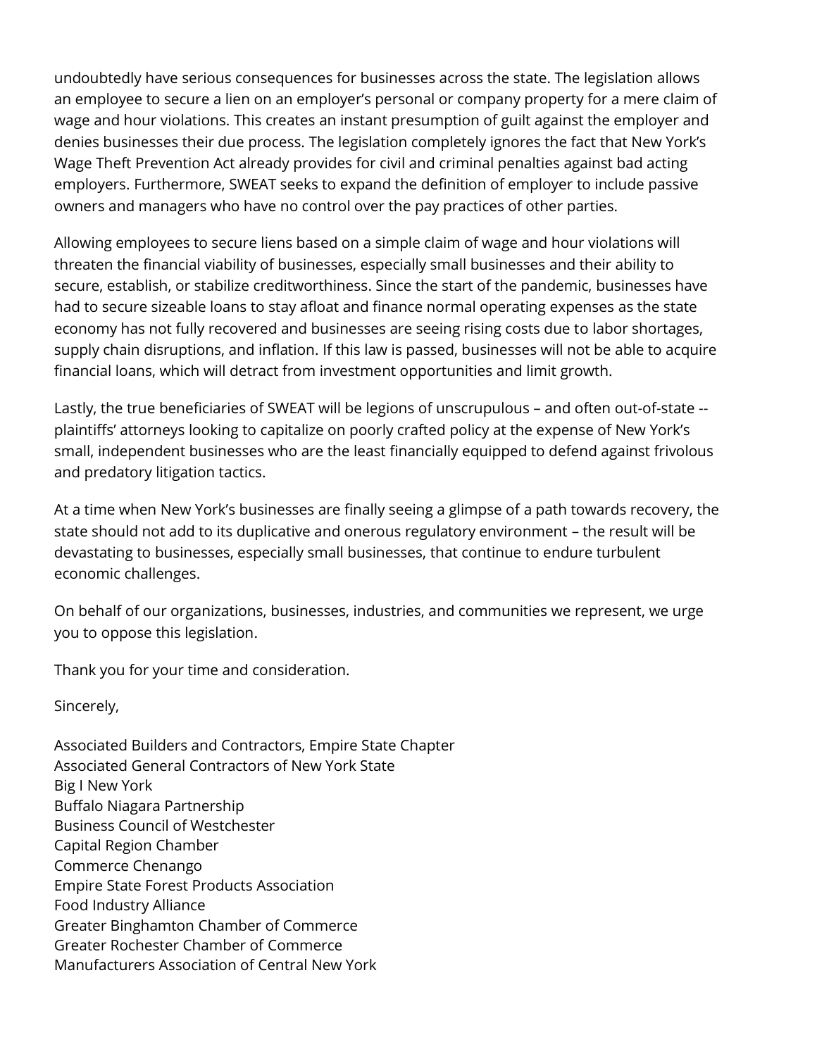undoubtedly have serious consequences for businesses across the state. The legislation allows an employee to secure a lien on an employer's personal or company property for a mere claim of wage and hour violations. This creates an instant presumption of guilt against the employer and denies businesses their due process. The legislation completely ignores the fact that New York's Wage Theft Prevention Act already provides for civil and criminal penalties against bad acting employers. Furthermore, SWEAT seeks to expand the definition of employer to include passive owners and managers who have no control over the pay practices of other parties.

Allowing employees to secure liens based on a simple claim of wage and hour violations will threaten the financial viability of businesses, especially small businesses and their ability to secure, establish, or stabilize creditworthiness. Since the start of the pandemic, businesses have had to secure sizeable loans to stay afloat and finance normal operating expenses as the state economy has not fully recovered and businesses are seeing rising costs due to labor shortages, supply chain disruptions, and inflation. If this law is passed, businesses will not be able to acquire financial loans, which will detract from investment opportunities and limit growth.

Lastly, the true beneficiaries of SWEAT will be legions of unscrupulous – and often out-of-state - plaintiffs' attorneys looking to capitalize on poorly crafted policy at the expense of New York's small, independent businesses who are the least financially equipped to defend against frivolous and predatory litigation tactics.

At a time when New York's businesses are finally seeing a glimpse of a path towards recovery, the state should not add to its duplicative and onerous regulatory environment – the result will be devastating to businesses, especially small businesses, that continue to endure turbulent economic challenges.

On behalf of our organizations, businesses, industries, and communities we represent, we urge you to oppose this legislation.

Thank you for your time and consideration.

Sincerely,

Associated Builders and Contractors, Empire State Chapter Associated General Contractors of New York State Big I New York Buffalo Niagara Partnership Business Council of Westchester Capital Region Chamber Commerce Chenango Empire State Forest Products Association Food Industry Alliance Greater Binghamton Chamber of Commerce Greater Rochester Chamber of Commerce Manufacturers Association of Central New York